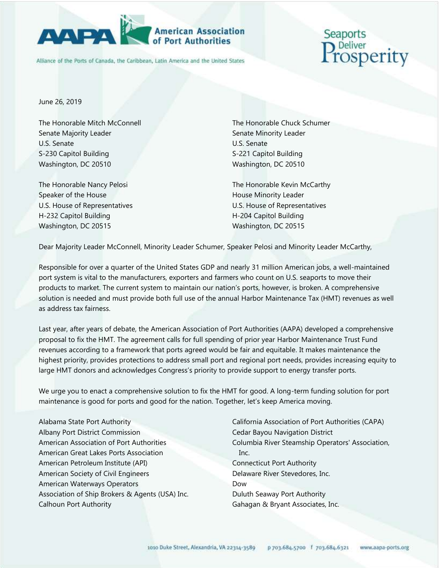

## **American Association**

Alliance of the Ports of Canada, the Caribbean, Latin America and the United States

## Seaports <sub>liver</sub><br>|Sperity

June 26, 2019

The Honorable Mitch McConnell Senate Majority Leader U.S. Senate S-230 Capitol Building Washington, DC 20510

The Honorable Nancy Pelosi Speaker of the House U.S. House of Representatives H-232 Capitol Building Washington, DC 20515

The Honorable Chuck Schumer Senate Minority Leader U.S. Senate S-221 Capitol Building Washington, DC 20510

The Honorable Kevin McCarthy House Minority Leader U.S. House of Representatives H-204 Capitol Building Washington, DC 20515

Dear Majority Leader McConnell, Minority Leader Schumer, Speaker Pelosi and Minority Leader McCarthy,

Responsible for over a quarter of the United States GDP and nearly 31 million American jobs, a well-maintained port system is vital to the manufacturers, exporters and farmers who count on U.S. seaports to move their products to market. The current system to maintain our nation's ports, however, is broken. A comprehensive solution is needed and must provide both full use of the annual Harbor Maintenance Tax (HMT) revenues as well as address tax fairness.

Last year, after years of debate, the American Association of Port Authorities (AAPA) developed a comprehensive proposal to fix the HMT. The agreement calls for full spending of prior year Harbor Maintenance Trust Fund revenues according to a framework that ports agreed would be fair and equitable. It makes maintenance the highest priority, provides protections to address small port and regional port needs, provides increasing equity to large HMT donors and acknowledges Congress's priority to provide support to energy transfer ports.

We urge you to enact a comprehensive solution to fix the HMT for good. A long-term funding solution for port maintenance is good for ports and good for the nation. Together, let's keep America moving.

Alabama State Port Authority Albany Port District Commission American Association of Port Authorities American Great Lakes Ports Association American Petroleum Institute (API) American Society of Civil Engineers American Waterways Operators Association of Ship Brokers & Agents (USA) Inc. Calhoun Port Authority

California Association of Port Authorities (CAPA) Cedar Bayou Navigation District Columbia River Steamship Operators' Association, Inc. Connecticut Port Authority Delaware River Stevedores, Inc. Dow Duluth Seaway Port Authority Gahagan & Bryant Associates, Inc.